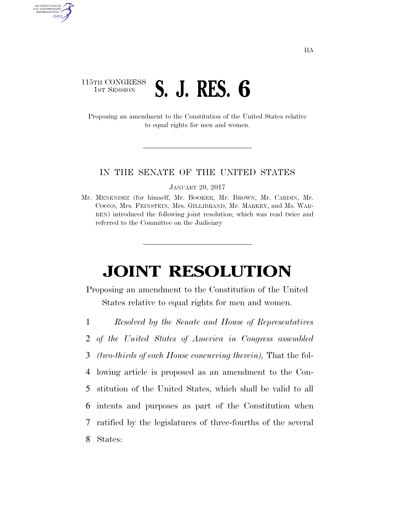## 115TH CONGRESS **1ST SESSION S. J. RES. 6**

AUTHENTICATED<br>U.S. GOVERNMENT<br>INFORMATION GPO

> Proposing an amendment to the Constitution of the United States relative to equal rights for men and women.

## IN THE SENATE OF THE UNITED STATES

JANUARY 20, 2017

Mr. MENENDEZ (for himself, Mr. BOOKER, Mr. BROWN, Mr. CARDIN, Mr. COONS, Mrs. FEINSTEIN, Mrs. GILLIBRAND, Mr. MARKEY, and Ms. WAR-REN) introduced the following joint resolution; which was read twice and referred to the Committee on the Judiciary

## **JOINT RESOLUTION**

Proposing an amendment to the Constitution of the United States relative to equal rights for men and women.

- 1 *Resolved by the Senate and House of Representatives*
- 2 *of the United States of America in Congress assembled*
- 3 *(two-thirds of each House concurring therein),* That the fol-
- 4 lowing article is proposed as an amendment to the Con-5 stitution of the United States, which shall be valid to all 6 intents and purposes as part of the Constitution when 7 ratified by the legislatures of three-fourths of the several 8 States: